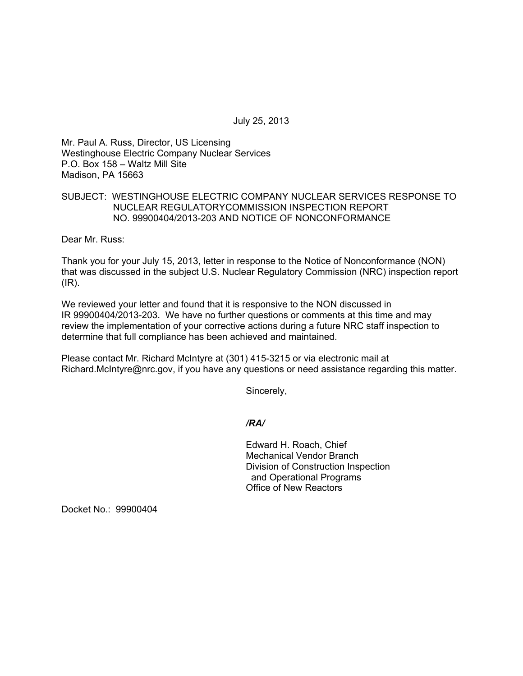July 25, 2013

Mr. Paul A. Russ, Director, US Licensing Westinghouse Electric Company Nuclear Services P.O. Box 158 – Waltz Mill Site Madison, PA 15663

# SUBJECT: WESTINGHOUSE ELECTRIC COMPANY NUCLEAR SERVICES RESPONSE TO NUCLEAR REGULATORYCOMMISSION INSPECTION REPORT NO. 99900404/2013-203 AND NOTICE OF NONCONFORMANCE

Dear Mr. Russ:

Thank you for your July 15, 2013, letter in response to the Notice of Nonconformance (NON) that was discussed in the subject U.S. Nuclear Regulatory Commission (NRC) inspection report (IR).

We reviewed your letter and found that it is responsive to the NON discussed in IR 99900404/2013-203. We have no further questions or comments at this time and may review the implementation of your corrective actions during a future NRC staff inspection to determine that full compliance has been achieved and maintained.

Please contact Mr. Richard McIntyre at (301) 415-3215 or via electronic mail at Richard.McIntyre@nrc.gov, if you have any questions or need assistance regarding this matter.

Sincerely,

*/RA/* 

Edward H. Roach, Chief Mechanical Vendor Branch Division of Construction Inspection and Operational Programs Office of New Reactors

Docket No.: 99900404